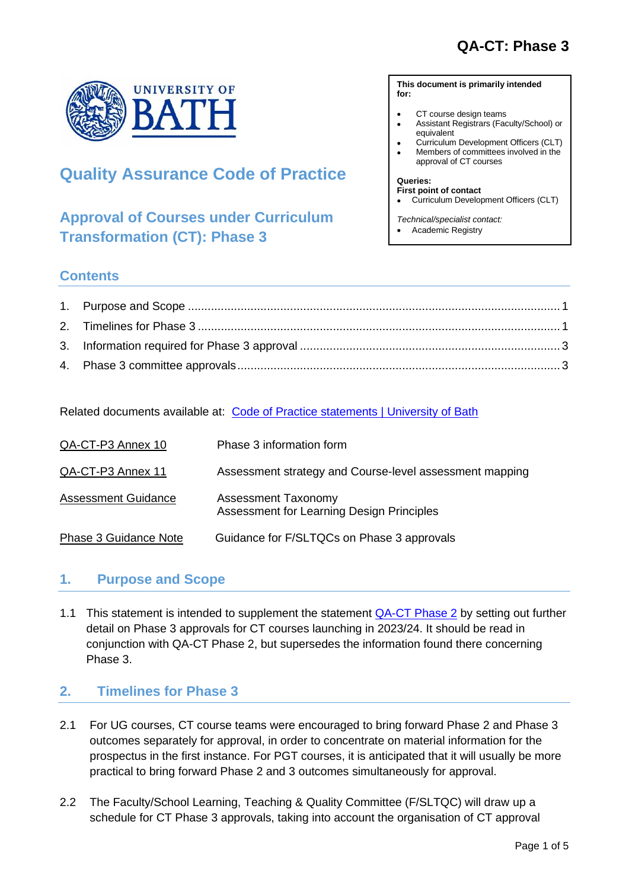

# **Quality Assurance Code of Practice**

# **Approval of Courses under Curriculum Transformation (CT): Phase 3**

#### **This document is primarily intended for:**

- CT course design teams
- Assistant Registrars (Faculty/School) or equivalent
- Curriculum Development Officers (CLT)
- Members of committees involved in the approval of CT courses

#### **Queries:**

- **First point of contact**
- Curriculum Development Officers (CLT)
- *Technical/specialist contact:*
- Academic Registry

### **Contents**

Related documents available at: [Code of Practice statements | University of Bath](https://www.bath.ac.uk/guides/quality-assurance-code-of-practice/)

| QA-CT-P3 Annex 10            | Phase 3 information form                                                |
|------------------------------|-------------------------------------------------------------------------|
| QA-CT-P3 Annex 11            | Assessment strategy and Course-level assessment mapping                 |
| <b>Assessment Guidance</b>   | <b>Assessment Taxonomy</b><br>Assessment for Learning Design Principles |
| <b>Phase 3 Guidance Note</b> | Guidance for F/SLTQCs on Phase 3 approvals                              |

### <span id="page-0-0"></span>**1. Purpose and Scope**

1.1 This statement is intended to supplement the statement [QA-CT Phase 2](https://www.bath.ac.uk/publications/qa-ct-curriculum-transformation-phase-2/) by setting out further detail on Phase 3 approvals for CT courses launching in 2023/24. It should be read in conjunction with QA-CT Phase 2, but supersedes the information found there concerning Phase 3.

## <span id="page-0-1"></span>**2. Timelines for Phase 3**

- 2.1 For UG courses, CT course teams were encouraged to bring forward Phase 2 and Phase 3 outcomes separately for approval, in order to concentrate on material information for the prospectus in the first instance. For PGT courses, it is anticipated that it will usually be more practical to bring forward Phase 2 and 3 outcomes simultaneously for approval.
- 2.2 The Faculty/School Learning, Teaching & Quality Committee (F/SLTQC) will draw up a schedule for CT Phase 3 approvals, taking into account the organisation of CT approval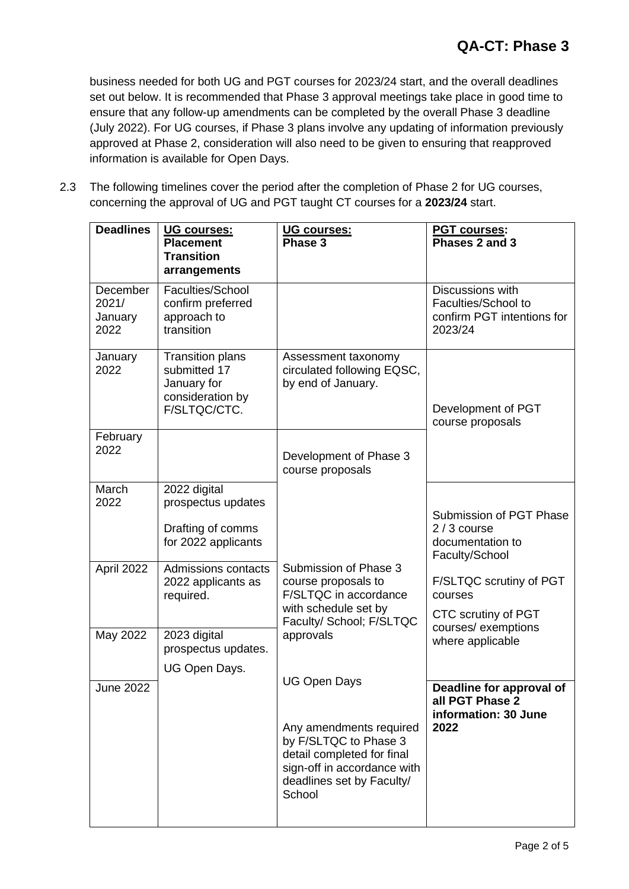business needed for both UG and PGT courses for 2023/24 start, and the overall deadlines set out below. It is recommended that Phase 3 approval meetings take place in good time to ensure that any follow-up amendments can be completed by the overall Phase 3 deadline (July 2022). For UG courses, if Phase 3 plans involve any updating of information previously approved at Phase 2, consideration will also need to be given to ensuring that reapproved information is available for Open Days.

2.3 The following timelines cover the period after the completion of Phase 2 for UG courses, concerning the approval of UG and PGT taught CT courses for a **2023/24** start.

| <b>Deadlines</b>                     | UG courses:<br><b>Placement</b><br><b>Transition</b><br>arrangements                       | UG courses:<br>Phase 3                                                                                                                                                      | <b>PGT courses:</b><br>Phases 2 and 3                                                             |
|--------------------------------------|--------------------------------------------------------------------------------------------|-----------------------------------------------------------------------------------------------------------------------------------------------------------------------------|---------------------------------------------------------------------------------------------------|
| December<br>2021/<br>January<br>2022 | Faculties/School<br>confirm preferred<br>approach to<br>transition                         |                                                                                                                                                                             | Discussions with<br>Faculties/School to<br>confirm PGT intentions for<br>2023/24                  |
| January<br>2022                      | <b>Transition plans</b><br>submitted 17<br>January for<br>consideration by<br>F/SLTQC/CTC. | Assessment taxonomy<br>circulated following EQSC,<br>by end of January.                                                                                                     | Development of PGT<br>course proposals                                                            |
| February<br>2022                     |                                                                                            | Development of Phase 3<br>course proposals                                                                                                                                  |                                                                                                   |
| March<br>2022                        | 2022 digital<br>prospectus updates<br>Drafting of comms<br>for 2022 applicants             |                                                                                                                                                                             | Submission of PGT Phase<br>$2/3$ course<br>documentation to                                       |
| April 2022                           | <b>Admissions contacts</b><br>2022 applicants as<br>required.                              | Submission of Phase 3<br>course proposals to<br>F/SLTQC in accordance<br>with schedule set by<br>Faculty/ School; F/SLTQC                                                   | Faculty/School<br>F/SLTQC scrutiny of PGT<br>courses<br>CTC scrutiny of PGT<br>courses/exemptions |
| May 2022                             | 2023 digital<br>prospectus updates.<br>UG Open Days.                                       | approvals                                                                                                                                                                   | where applicable                                                                                  |
| <b>June 2022</b>                     |                                                                                            | <b>UG Open Days</b><br>Any amendments required<br>by F/SLTQC to Phase 3<br>detail completed for final<br>sign-off in accordance with<br>deadlines set by Faculty/<br>School | Deadline for approval of<br>all PGT Phase 2<br>information: 30 June<br>2022                       |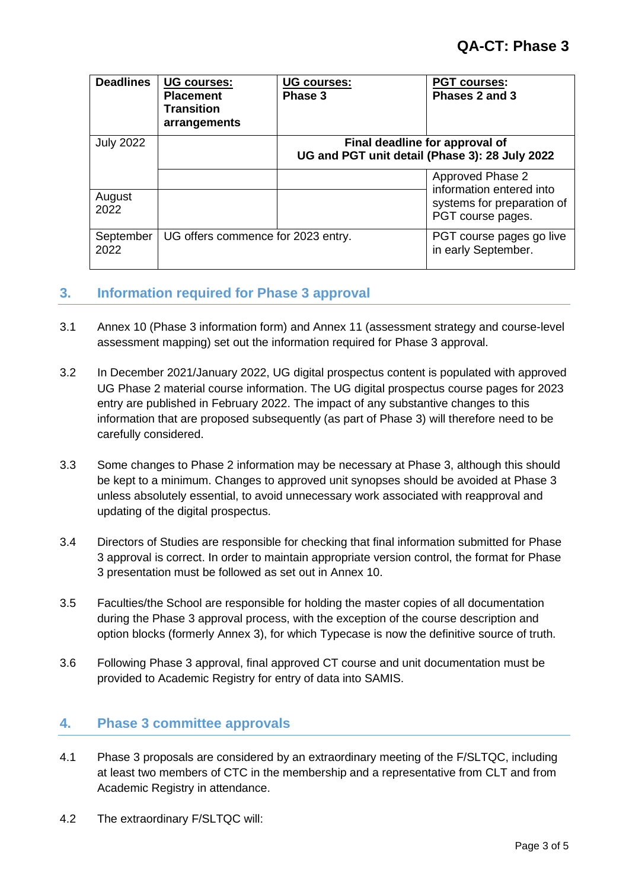| <b>Deadlines</b>  | <b>UG courses:</b><br><b>Placement</b><br><b>Transition</b><br>arrangements | <b>UG courses:</b><br>Phase 3 | <b>PGT courses:</b><br>Phases 2 and 3                                                           |
|-------------------|-----------------------------------------------------------------------------|-------------------------------|-------------------------------------------------------------------------------------------------|
| <b>July 2022</b>  |                                                                             |                               | Final deadline for approval of<br>UG and PGT unit detail (Phase 3): 28 July 2022                |
| August<br>2022    |                                                                             |                               | Approved Phase 2<br>information entered into<br>systems for preparation of<br>PGT course pages. |
| September<br>2022 | UG offers commence for 2023 entry.                                          |                               | PGT course pages go live<br>in early September.                                                 |

#### <span id="page-2-0"></span>**3. Information required for Phase 3 approval**

- 3.1 Annex 10 (Phase 3 information form) and Annex 11 (assessment strategy and course-level assessment mapping) set out the information required for Phase 3 approval.
- 3.2 In December 2021/January 2022, UG digital prospectus content is populated with approved UG Phase 2 material course information. The UG digital prospectus course pages for 2023 entry are published in February 2022. The impact of any substantive changes to this information that are proposed subsequently (as part of Phase 3) will therefore need to be carefully considered.
- 3.3 Some changes to Phase 2 information may be necessary at Phase 3, although this should be kept to a minimum. Changes to approved unit synopses should be avoided at Phase 3 unless absolutely essential, to avoid unnecessary work associated with reapproval and updating of the digital prospectus.
- 3.4 Directors of Studies are responsible for checking that final information submitted for Phase 3 approval is correct. In order to maintain appropriate version control, the format for Phase 3 presentation must be followed as set out in Annex 10.
- 3.5 Faculties/the School are responsible for holding the master copies of all documentation during the Phase 3 approval process, with the exception of the course description and option blocks (formerly Annex 3), for which Typecase is now the definitive source of truth.
- 3.6 Following Phase 3 approval, final approved CT course and unit documentation must be provided to Academic Registry for entry of data into SAMIS.

### <span id="page-2-1"></span>**4. Phase 3 committee approvals**

- 4.1 Phase 3 proposals are considered by an extraordinary meeting of the F/SLTQC, including at least two members of CTC in the membership and a representative from CLT and from Academic Registry in attendance.
- 4.2 The extraordinary F/SLTQC will: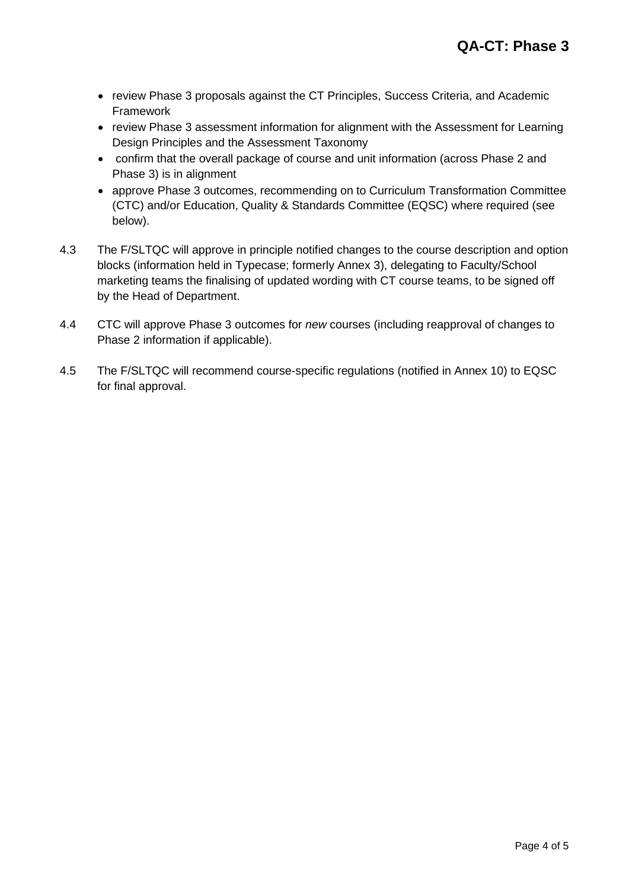- review Phase 3 proposals against the CT Principles, Success Criteria, and Academic **Framework**
- review Phase 3 assessment information for alignment with the Assessment for Learning Design Principles and the Assessment Taxonomy
- confirm that the overall package of course and unit information (across Phase 2 and Phase 3) is in alignment
- approve Phase 3 outcomes, recommending on to Curriculum Transformation Committee (CTC) and/or Education, Quality & Standards Committee (EQSC) where required (see below).
- 4.3 The F/SLTQC will approve in principle notified changes to the course description and option blocks (information held in Typecase; formerly Annex 3), delegating to Faculty/School marketing teams the finalising of updated wording with CT course teams, to be signed off by the Head of Department.
- 4.4 CTC will approve Phase 3 outcomes for *new* courses (including reapproval of changes to Phase 2 information if applicable).
- 4.5 The F/SLTQC will recommend course-specific regulations (notified in Annex 10) to EQSC for final approval.